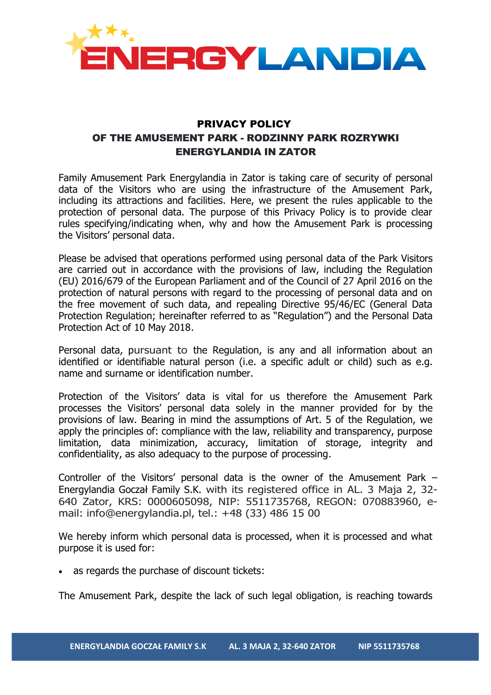

## PRIVACY POLICY OF THE AMUSEMENT PARK - RODZINNY PARK ROZRYWKI ENERGYLANDIA IN ZATOR

Family Amusement Park Energylandia in Zator is taking care of security of personal data of the Visitors who are using the infrastructure of the Amusement Park, including its attractions and facilities. Here, we present the rules applicable to the protection of personal data. The purpose of this Privacy Policy is to provide clear rules specifying/indicating when, why and how the Amusement Park is processing the Visitors' personal data.

Please be advised that operations performed using personal data of the Park Visitors are carried out in accordance with the provisions of law, including the Regulation (EU) 2016/679 of the European Parliament and of the Council of 27 April 2016 on the protection of natural persons with regard to the processing of personal data and on the free movement of such data, and repealing Directive 95/46/EC (General Data Protection Regulation; hereinafter referred to as "Regulation") and the Personal Data Protection Act of 10 May 2018.

Personal data, pursuant to the Regulation, is any and all information about an identified or identifiable natural person (i.e. a specific adult or child) such as e.g. name and surname or identification number.

Protection of the Visitors' data is vital for us therefore the Amusement Park processes the Visitors' personal data solely in the manner provided for by the provisions of law. Bearing in mind the assumptions of Art. 5 of the Regulation, we apply the principles of: compliance with the law, reliability and transparency, purpose limitation, data minimization, accuracy, limitation of storage, integrity and confidentiality, as also adequacy to the purpose of processing.

Controller of the Visitors' personal data is the owner of the Amusement Park – Energylandia Goczał Family S.K. with its registered office in AL. 3 Maja 2, 32- 640 Zator, KRS: 0000605098, NIP: 5511735768, REGON: 070883960, email: info@energylandia.pl, tel.: +48 (33) 486 15 00

We hereby inform which personal data is processed, when it is processed and what purpose it is used for:

as regards the purchase of discount tickets:

The Amusement Park, despite the lack of such legal obligation, is reaching towards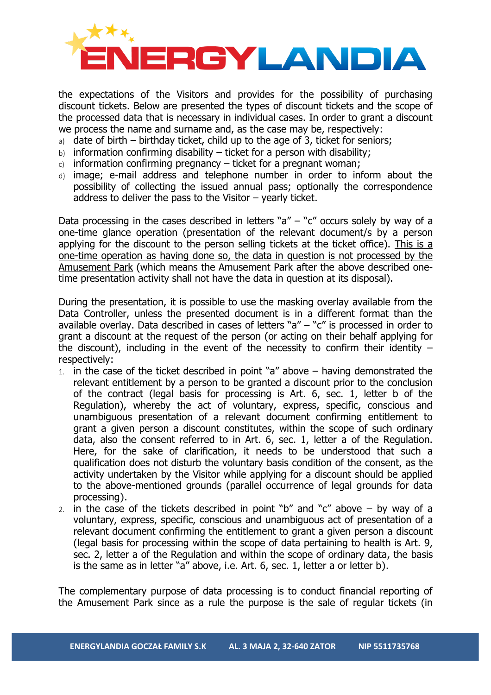

the expectations of the Visitors and provides for the possibility of purchasing discount tickets. Below are presented the types of discount tickets and the scope of the processed data that is necessary in individual cases. In order to grant a discount we process the name and surname and, as the case may be, respectively:

- a) date of birth birthday ticket, child up to the age of 3, ticket for seniors;
- $b)$  information confirming disability ticket for a person with disability;
- c) information confirming pregnancy  $-$  ticket for a pregnant woman;
- d) image; e-mail address and telephone number in order to inform about the possibility of collecting the issued annual pass; optionally the correspondence address to deliver the pass to the Visitor  $-$  yearly ticket.

Data processing in the cases described in letters " $a'' -$ " $c''$  occurs solely by way of a one-time glance operation (presentation of the relevant document/s by a person applying for the discount to the person selling tickets at the ticket office). This is a one-time operation as having done so, the data in question is not processed by the Amusement Park (which means the Amusement Park after the above described onetime presentation activity shall not have the data in question at its disposal).

During the presentation, it is possible to use the masking overlay available from the Data Controller, unless the presented document is in a different format than the available overlay. Data described in cases of letters " $a'' -$ " $c''$  is processed in order to grant a discount at the request of the person (or acting on their behalf applying for the discount), including in the event of the necessity to confirm their identity  $$ respectively:

- 1. in the case of the ticket described in point "a" above  $-$  having demonstrated the relevant entitlement by a person to be granted a discount prior to the conclusion of the contract (legal basis for processing is Art. 6, sec. 1, letter b of the Regulation), whereby the act of voluntary, express, specific, conscious and unambiguous presentation of a relevant document confirming entitlement to grant a given person a discount constitutes, within the scope of such ordinary data, also the consent referred to in Art. 6, sec. 1, letter a of the Regulation. Here, for the sake of clarification, it needs to be understood that such a qualification does not disturb the voluntary basis condition of the consent, as the activity undertaken by the Visitor while applying for a discount should be applied to the above-mentioned grounds (parallel occurrence of legal grounds for data processing).
- 2. in the case of the tickets described in point "b" and "c" above  $-$  by way of a voluntary, express, specific, conscious and unambiguous act of presentation of a relevant document confirming the entitlement to grant a given person a discount (legal basis for processing within the scope of data pertaining to health is Art. 9, sec. 2, letter a of the Regulation and within the scope of ordinary data, the basis is the same as in letter "a" above, i.e. Art. 6, sec. 1, letter a or letter b).

The complementary purpose of data processing is to conduct financial reporting of the Amusement Park since as a rule the purpose is the sale of regular tickets (in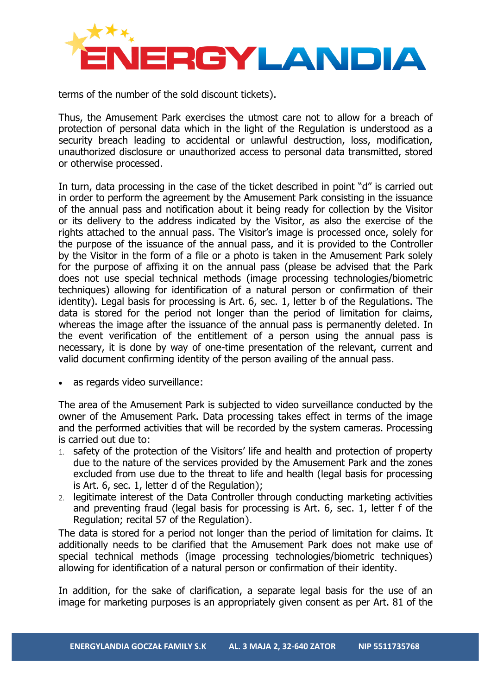

terms of the number of the sold discount tickets).

Thus, the Amusement Park exercises the utmost care not to allow for a breach of protection of personal data which in the light of the Regulation is understood as a security breach leading to accidental or unlawful destruction, loss, modification, unauthorized disclosure or unauthorized access to personal data transmitted, stored or otherwise processed.

In turn, data processing in the case of the ticket described in point "d" is carried out in order to perform the agreement by the Amusement Park consisting in the issuance of the annual pass and notification about it being ready for collection by the Visitor or its delivery to the address indicated by the Visitor, as also the exercise of the rights attached to the annual pass. The Visitor's image is processed once, solely for the purpose of the issuance of the annual pass, and it is provided to the Controller by the Visitor in the form of a file or a photo is taken in the Amusement Park solely for the purpose of affixing it on the annual pass (please be advised that the Park does not use special technical methods (image processing technologies/biometric techniques) allowing for identification of a natural person or confirmation of their identity). Legal basis for processing is Art. 6, sec. 1, letter b of the Regulations. The data is stored for the period not longer than the period of limitation for claims, whereas the image after the issuance of the annual pass is permanently deleted. In the event verification of the entitlement of a person using the annual pass is necessary, it is done by way of one-time presentation of the relevant, current and valid document confirming identity of the person availing of the annual pass.

• as regards video surveillance:

The area of the Amusement Park is subjected to video surveillance conducted by the owner of the Amusement Park. Data processing takes effect in terms of the image and the performed activities that will be recorded by the system cameras. Processing is carried out due to:

- 1. safety of the protection of the Visitors' life and health and protection of property due to the nature of the services provided by the Amusement Park and the zones excluded from use due to the threat to life and health (legal basis for processing is Art. 6, sec. 1, letter d of the Regulation);
- 2. legitimate interest of the Data Controller through conducting marketing activities and preventing fraud (legal basis for processing is Art. 6, sec. 1, letter f of the Regulation; recital 57 of the Regulation).

The data is stored for a period not longer than the period of limitation for claims. It additionally needs to be clarified that the Amusement Park does not make use of special technical methods (image processing technologies/biometric techniques) allowing for identification of a natural person or confirmation of their identity.

In addition, for the sake of clarification, a separate legal basis for the use of an image for marketing purposes is an appropriately given consent as per Art. 81 of the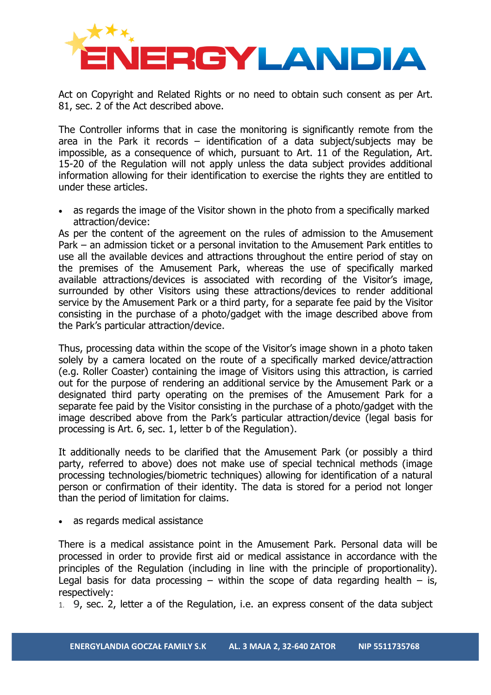

Act on Copyright and Related Rights or no need to obtain such consent as per Art. 81, sec. 2 of the Act described above.

The Controller informs that in case the monitoring is significantly remote from the area in the Park it records – identification of a data subject/subjects may be impossible, as a consequence of which, pursuant to Art. 11 of the Regulation, Art. 15-20 of the Regulation will not apply unless the data subject provides additional information allowing for their identification to exercise the rights they are entitled to under these articles.

as regards the image of the Visitor shown in the photo from a specifically marked attraction/device:

As per the content of the agreement on the rules of admission to the Amusement Park – an admission ticket or a personal invitation to the Amusement Park entitles to use all the available devices and attractions throughout the entire period of stay on the premises of the Amusement Park, whereas the use of specifically marked available attractions/devices is associated with recording of the Visitor's image, surrounded by other Visitors using these attractions/devices to render additional service by the Amusement Park or a third party, for a separate fee paid by the Visitor consisting in the purchase of a photo/gadget with the image described above from the Park's particular attraction/device.

Thus, processing data within the scope of the Visitor's image shown in a photo taken solely by a camera located on the route of a specifically marked device/attraction (e.g. Roller Coaster) containing the image of Visitors using this attraction, is carried out for the purpose of rendering an additional service by the Amusement Park or a designated third party operating on the premises of the Amusement Park for a separate fee paid by the Visitor consisting in the purchase of a photo/gadget with the image described above from the Park's particular attraction/device (legal basis for processing is Art. 6, sec. 1, letter b of the Regulation).

It additionally needs to be clarified that the Amusement Park (or possibly a third party, referred to above) does not make use of special technical methods (image processing technologies/biometric techniques) allowing for identification of a natural person or confirmation of their identity. The data is stored for a period not longer than the period of limitation for claims.

as regards medical assistance

There is a medical assistance point in the Amusement Park. Personal data will be processed in order to provide first aid or medical assistance in accordance with the principles of the Regulation (including in line with the principle of proportionality). Legal basis for data processing – within the scope of data regarding health – is, respectively:

1. 9, sec. 2, letter a of the Regulation, i.e. an express consent of the data subject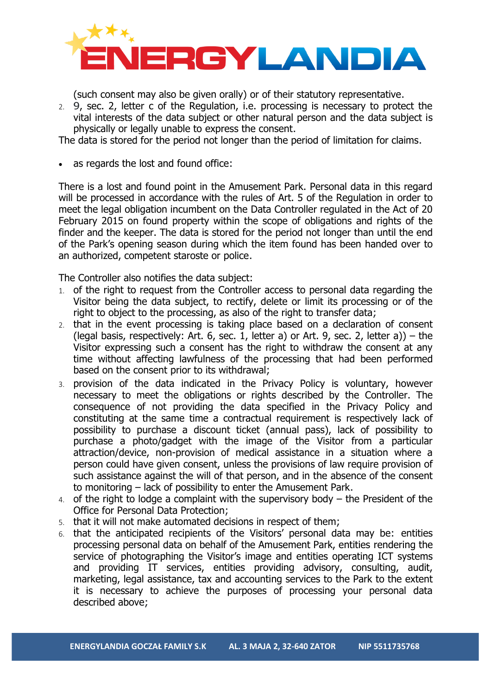

(such consent may also be given orally) or of their statutory representative.

2. 9, sec. 2, letter c of the Regulation, i.e. processing is necessary to protect the vital interests of the data subject or other natural person and the data subject is physically or legally unable to express the consent.

The data is stored for the period not longer than the period of limitation for claims.

as regards the lost and found office:

There is a lost and found point in the Amusement Park. Personal data in this regard will be processed in accordance with the rules of Art. 5 of the Regulation in order to meet the legal obligation incumbent on the Data Controller regulated in the Act of 20 February 2015 on found property within the scope of obligations and rights of the finder and the keeper. The data is stored for the period not longer than until the end of the Park's opening season during which the item found has been handed over to an authorized, competent staroste or police.

The Controller also notifies the data subject:

- 1. of the right to request from the Controller access to personal data regarding the Visitor being the data subject, to rectify, delete or limit its processing or of the right to object to the processing, as also of the right to transfer data;
- 2. that in the event processing is taking place based on a declaration of consent (legal basis, respectively: Art. 6, sec. 1, letter a) or Art. 9, sec. 2, letter a)) – the Visitor expressing such a consent has the right to withdraw the consent at any time without affecting lawfulness of the processing that had been performed based on the consent prior to its withdrawal;
- 3. provision of the data indicated in the Privacy Policy is voluntary, however necessary to meet the obligations or rights described by the Controller. The consequence of not providing the data specified in the Privacy Policy and constituting at the same time a contractual requirement is respectively lack of possibility to purchase a discount ticket (annual pass), lack of possibility to purchase a photo/gadget with the image of the Visitor from a particular attraction/device, non-provision of medical assistance in a situation where a person could have given consent, unless the provisions of law require provision of such assistance against the will of that person, and in the absence of the consent to monitoring – lack of possibility to enter the Amusement Park.
- 4. of the right to lodge a complaint with the supervisory body the President of the Office for Personal Data Protection;
- 5. that it will not make automated decisions in respect of them;
- 6. that the anticipated recipients of the Visitors' personal data may be: entities processing personal data on behalf of the Amusement Park, entities rendering the service of photographing the Visitor's image and entities operating ICT systems and providing IT services, entities providing advisory, consulting, audit, marketing, legal assistance, tax and accounting services to the Park to the extent it is necessary to achieve the purposes of processing your personal data described above;